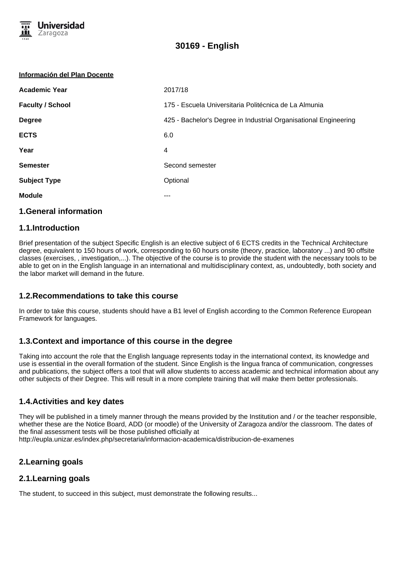

#### **Información del Plan Docente**

| <b>Academic Year</b>    | 2017/18                                                          |
|-------------------------|------------------------------------------------------------------|
| <b>Faculty / School</b> | 175 - Escuela Universitaria Politécnica de La Almunia            |
| <b>Degree</b>           | 425 - Bachelor's Degree in Industrial Organisational Engineering |
| <b>ECTS</b>             | 6.0                                                              |
| Year                    | 4                                                                |
| <b>Semester</b>         | Second semester                                                  |
| <b>Subject Type</b>     | Optional                                                         |
| <b>Module</b>           | ---                                                              |
|                         |                                                                  |

#### **1.General information**

#### **1.1.Introduction**

Brief presentation of the subject Specific English is an elective subject of 6 ECTS credits in the Technical Architecture degree, equivalent to 150 hours of work, corresponding to 60 hours onsite (theory, practice, laboratory ...) and 90 offsite classes (exercises, , investigation,...). The objective of the course is to provide the student with the necessary tools to be able to get on in the English language in an international and multidisciplinary context, as, undoubtedly, both society and the labor market will demand in the future.

## **1.2.Recommendations to take this course**

In order to take this course, students should have a B1 level of English according to the Common Reference European Framework for languages.

## **1.3.Context and importance of this course in the degree**

Taking into account the role that the English language represents today in the international context, its knowledge and use is essential in the overall formation of the student. Since English is the lingua franca of communication, congresses and publications, the subject offers a tool that will allow students to access academic and technical information about any other subjects of their Degree. This will result in a more complete training that will make them better professionals.

## **1.4.Activities and key dates**

They will be published in a timely manner through the means provided by the Institution and / or the teacher responsible, whether these are the Notice Board, ADD (or moodle) of the University of Zaragoza and/or the classroom. The dates of the final assessment tests will be those published officially at http://eupla.unizar.es/index.php/secretaria/informacion-academica/distribucion-de-examenes

# **2.Learning goals**

## **2.1.Learning goals**

The student, to succeed in this subject, must demonstrate the following results...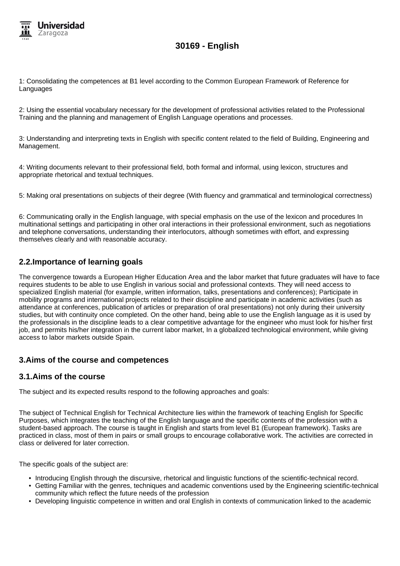

1: Consolidating the competences at B1 level according to the Common European Framework of Reference for Languages

2: Using the essential vocabulary necessary for the development of professional activities related to the Professional Training and the planning and management of English Language operations and processes.

3: Understanding and interpreting texts in English with specific content related to the field of Building, Engineering and Management.

4: Writing documents relevant to their professional field, both formal and informal, using lexicon, structures and appropriate rhetorical and textual techniques.

5: Making oral presentations on subjects of their degree (With fluency and grammatical and terminological correctness)

6: Communicating orally in the English language, with special emphasis on the use of the lexicon and procedures In multinational settings and participating in other oral interactions in their professional environment, such as negotiations and telephone conversations, understanding their interlocutors, although sometimes with effort, and expressing themselves clearly and with reasonable accuracy.

# **2.2.Importance of learning goals**

The convergence towards a European Higher Education Area and the labor market that future graduates will have to face requires students to be able to use English in various social and professional contexts. They will need access to specialized English material (for example, written information, talks, presentations and conferences); Participate in mobility programs and international projects related to their discipline and participate in academic activities (such as attendance at conferences, publication of articles or preparation of oral presentations) not only during their university studies, but with continuity once completed. On the other hand, being able to use the English language as it is used by the professionals in the discipline leads to a clear competitive advantage for the engineer who must look for his/her first job, and permits his/her integration in the current labor market, In a globalized technological environment, while giving access to labor markets outside Spain.

# **3.Aims of the course and competences**

## **3.1.Aims of the course**

The subject and its expected results respond to the following approaches and goals:

The subject of Technical English for Technical Architecture lies within the framework of teaching English for Specific Purposes, which integrates the teaching of the English language and the specific contents of the profession with a student-based approach. The course is taught in English and starts from level B1 (European framework). Tasks are practiced in class, most of them in pairs or small groups to encourage collaborative work. The activities are corrected in class or delivered for later correction.

The specific goals of the subject are:

- Introducing English through the discursive, rhetorical and linguistic functions of the scientific-technical record.
- Getting Familiar with the genres, techniques and academic conventions used by the Engineering scientific-technical community which reflect the future needs of the profession
- Developing linguistic competence in written and oral English in contexts of communication linked to the academic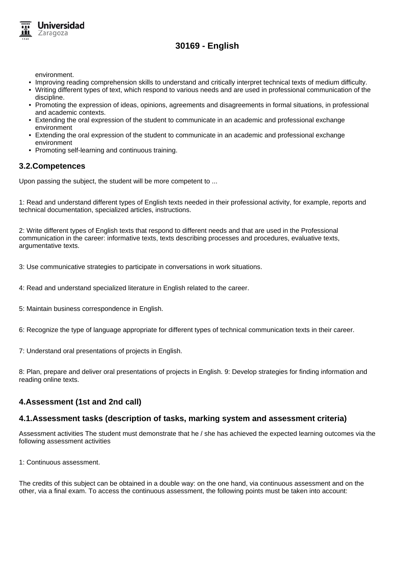

environment.

- Improving reading comprehension skills to understand and critically interpret technical texts of medium difficulty.
- Writing different types of text, which respond to various needs and are used in professional communication of the discipline.
- Promoting the expression of ideas, opinions, agreements and disagreements in formal situations, in professional and academic contexts.
- Extending the oral expression of the student to communicate in an academic and professional exchange environment
- Extending the oral expression of the student to communicate in an academic and professional exchange environment
- Promoting self-learning and continuous training.

## **3.2.Competences**

Upon passing the subject, the student will be more competent to ...

1: Read and understand different types of English texts needed in their professional activity, for example, reports and technical documentation, specialized articles, instructions.

2: Write different types of English texts that respond to different needs and that are used in the Professional communication in the career: informative texts, texts describing processes and procedures, evaluative texts, argumentative texts.

3: Use communicative strategies to participate in conversations in work situations.

4: Read and understand specialized literature in English related to the career.

5: Maintain business correspondence in English.

6: Recognize the type of language appropriate for different types of technical communication texts in their career.

7: Understand oral presentations of projects in English.

8: Plan, prepare and deliver oral presentations of projects in English. 9: Develop strategies for finding information and reading online texts.

# **4.Assessment (1st and 2nd call)**

## **4.1.Assessment tasks (description of tasks, marking system and assessment criteria)**

Assessment activities The student must demonstrate that he / she has achieved the expected learning outcomes via the following assessment activities

1: Continuous assessment.

The credits of this subject can be obtained in a double way: on the one hand, via continuous assessment and on the other, via a final exam. To access the continuous assessment, the following points must be taken into account: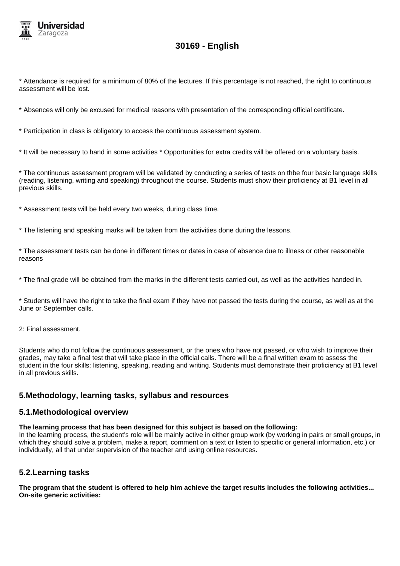

\* Attendance is required for a minimum of 80% of the lectures. If this percentage is not reached, the right to continuous assessment will be lost.

\* Absences will only be excused for medical reasons with presentation of the corresponding official certificate.

\* Participation in class is obligatory to access the continuous assessment system.

\* It will be necessary to hand in some activities \* Opportunities for extra credits will be offered on a voluntary basis.

\* The continuous assessment program will be validated by conducting a series of tests on thbe four basic language skills (reading, listening, writing and speaking) throughout the course. Students must show their proficiency at B1 level in all previous skills.

\* Assessment tests will be held every two weeks, during class time.

\* The listening and speaking marks will be taken from the activities done during the lessons.

\* The assessment tests can be done in different times or dates in case of absence due to illness or other reasonable reasons

\* The final grade will be obtained from the marks in the different tests carried out, as well as the activities handed in.

\* Students will have the right to take the final exam if they have not passed the tests during the course, as well as at the June or September calls.

2: Final assessment.

Students who do not follow the continuous assessment, or the ones who have not passed, or who wish to improve their grades, may take a final test that will take place in the official calls. There will be a final written exam to assess the student in the four skills: listening, speaking, reading and writing. Students must demonstrate their proficiency at B1 level in all previous skills.

## **5.Methodology, learning tasks, syllabus and resources**

#### **5.1.Methodological overview**

**The learning process that has been designed for this subject is based on the following:**

In the learning process, the student's role will be mainly active in either group work (by working in pairs or small groups, in which they should solve a problem, make a report, comment on a text or listen to specific or general information, etc.) or individually, all that under supervision of the teacher and using online resources.

## **5.2.Learning tasks**

**The program that the student is offered to help him achieve the target results includes the following activities... On-site generic activities:**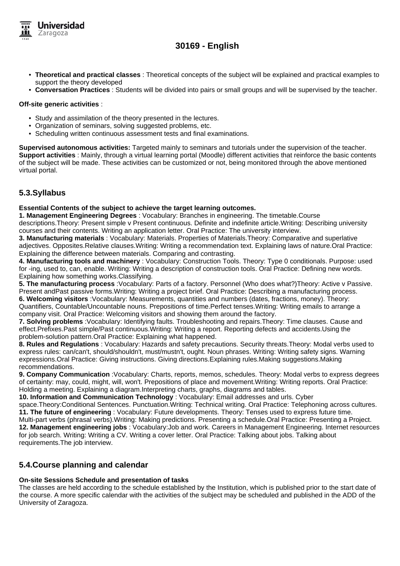

- **Theoretical and practical classes** : Theoretical concepts of the subject will be explained and practical examples to support the theory developed
- **Conversation Practices** : Students will be divided into pairs or small groups and will be supervised by the teacher.

#### **Off-site generic activities** :

- Study and assimilation of the theory presented in the lectures.
- Organization of seminars, solving suggested problems, etc.
- Scheduling written continuous assessment tests and final examinations.

**Supervised autonomous activities:** Targeted mainly to seminars and tutorials under the supervision of the teacher. **Support activities** : Mainly, through a virtual learning portal (Moodle) different activities that reinforce the basic contents of the subject will be made. These activities can be customized or not, being monitored through the above mentioned virtual portal.

# **5.3.Syllabus**

#### **Essential Contents of the subject to achieve the target learning outcomes.**

**1. Management Engineering Degrees** : Vocabulary: Branches in engineering. The timetable.Course descriptions.Theory: Present simple v Present continuous. Definite and indefinite article.Writing: Describing university courses and their contents. Writing an application letter. Oral Practice: The university interview.

**3. Manufacturing materials** : Vocabulary: Materials. Properties of Materials.Theory: Comparative and superlative adjectives. Opposites.Relative clauses.Writing: Writing a recommendation text. Explaining laws of nature.Oral Practice: Explaining the difference between materials. Comparing and contrasting.

**4. Manufacturing tools and machinery** : Vocabulary: Construction Tools. Theory: Type 0 conditionals. Purpose: used for -ing, used to, can, enable. Writing: Writing a description of construction tools. Oral Practice: Defining new words. Explaining how something works.Classifying.

**5. The manufacturing process** :Vocabulary: Parts of a factory. Personnel (Who does what?)Theory: Active v Passive. Present andPast passive forms.Writing: Writing a project brief. Oral Practice: Describing a manufacturing process. **6. Welcoming visitors** :Vocabulary: Measurements, quantities and numbers (dates, fractions, money). Theory: Quantifiers, Countable/Uncountable nouns. Prepositions of time.Perfect tenses.Writing: Writing emails to arrange a company visit. Oral Practice: Welcoming visitors and showing them around the factory.

**7. Solving problems** :Vocabulary: Identifying faults. Troubleshooting and repairs.Theory: Time clauses. Cause and effect.Prefixes.Past simple/Past continuous.Writing: Writing a report. Reporting defects and accidents.Using the problem-solution pattern.Oral Practice: Explaining what happened.

**8. Rules and Regulations** : Vocabulary: Hazards and safety precautions. Security threats.Theory: Modal verbs used to express rules: can/can't, should/shouldn't, must/mustn't, ought. Noun phrases. Writing: Writing safety signs. Warning expressions.Oral Practice: Giving instructions. Giving directions.Explaining rules.Making suggestions.Making recommendations.

**9. Company Communication** :Vocabulary: Charts, reports, memos, schedules. Theory: Modal verbs to express degrees of certainty: may, could, might, will, won't. Prepositions of place and movement.Writing: Writing reports. Oral Practice: Holding a meeting. Explaining a diagram.Interpreting charts, graphs, diagrams and tables.

**10. Information and Communication Technology** : Vocabulary: Email addresses and urls. Cyber

space.Theory:Conditional Sentences. Punctuation.Writing: Technical writing. Oral Practice: Telephoning across cultures. **11. The future of engineering** : Vocabulary: Future developments. Theory: Tenses used to express future time. Multi-part verbs (phrasal verbs).Writing: Making predictions. Presenting a schedule.Oral Practice: Presenting a Project. **12. Management engineering jobs** : Vocabulary:Job and work. Careers in Management Engineering. Internet resources for job search. Writing: Writing a CV. Writing a cover letter. Oral Practice: Talking about jobs. Talking about requirements.The job interview.

# **5.4.Course planning and calendar**

#### **On-site Sessions Schedule and presentation of tasks**

The classes are held according to the schedule established by the Institution, which is published prior to the start date of the course. A more specific calendar with the activities of the subject may be scheduled and published in the ADD of the University of Zaragoza.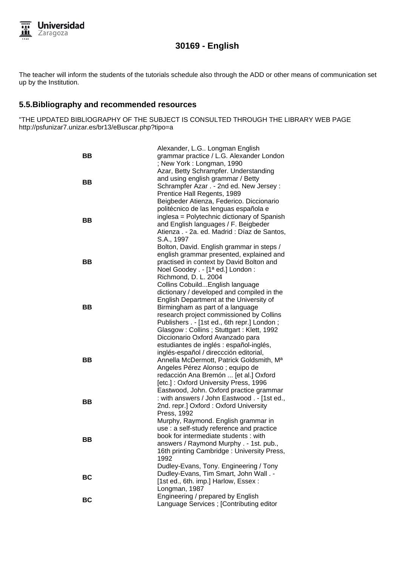

The teacher will inform the students of the tutorials schedule also through the ADD or other means of communication set up by the Institution.

# **5.5.Bibliography and recommended resources**

"THE UPDATED BIBLIOGRAPHY OF THE SUBJECT IS CONSULTED THROUGH THE LIBRARY WEB PAGE http://psfunizar7.unizar.es/br13/eBuscar.php?tipo=a

| ВB<br><b>BB</b> | Alexander, L.G Longman English<br>grammar practice / L.G. Alexander London<br>; New York: Longman, 1990<br>Azar, Betty Schrampfer. Understanding<br>and using english grammar / Betty<br>Schrampfer Azar . - 2nd ed. New Jersey :<br>Prentice Hall Regents, 1989<br>Beigbeder Atienza, Federico. Diccionario                      |
|-----------------|-----------------------------------------------------------------------------------------------------------------------------------------------------------------------------------------------------------------------------------------------------------------------------------------------------------------------------------|
| ВB              | politécnico de las lenguas española e<br>inglesa = Polytechnic dictionary of Spanish<br>and English languages / F. Beigbeder<br>Atienza . - 2a. ed. Madrid : Díaz de Santos,<br>S.A., 1997                                                                                                                                        |
| BВ              | Bolton, David. English grammar in steps /<br>english grammar presented, explained and<br>practised in context by David Bolton and<br>Noel Goodey . - [1ª ed.] London :<br>Richmond, D. L. 2004                                                                                                                                    |
| BВ              | Collins CobuildEnglish language<br>dictionary / developed and compiled in the<br>English Department at the University of<br>Birmingham as part of a language<br>research project commissioned by Collins<br>Publishers . - [1st ed., 6th repr.] London;<br>Glasgow: Collins; Stuttgart: Klett, 1992                               |
| BB              | Diccionario Oxford Avanzado para<br>estudiantes de inglés : español-inglés,<br>inglés-español / direccción editorial,<br>Annella McDermott, Patrick Goldsmith, Ma<br>Angeles Pérez Alonso; equipo de<br>redacción Ana Bremón  [et al.] Oxford<br>[etc.]: Oxford University Press, 1996<br>Eastwood, John. Oxford practice grammar |
| BВ              | : with answers / John Eastwood . - [1st ed.,<br>2nd. repr.] Oxford: Oxford University<br>Press, 1992                                                                                                                                                                                                                              |
| BВ              | Murphy, Raymond. English grammar in<br>use : a self-study reference and practice<br>book for intermediate students : with<br>answers / Raymond Murphy . - 1st. pub.,<br>16th printing Cambridge: University Press,<br>1992                                                                                                        |
| BC              | Dudley-Evans, Tony. Engineering / Tony<br>Dudley-Evans, Tim Smart, John Wall. -<br>[1st ed., 6th. imp.] Harlow, Essex:<br>Longman, 1987                                                                                                                                                                                           |
| BC              | Engineering / prepared by English<br>Language Services ; [Contributing editor                                                                                                                                                                                                                                                     |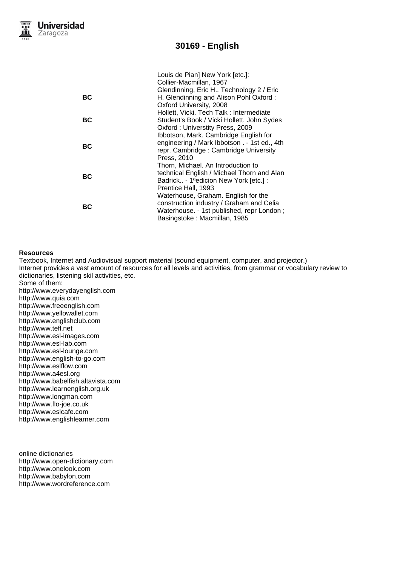|    | Louis de Pian] New York [etc.]:              |
|----|----------------------------------------------|
|    | Collier-Macmillan, 1967                      |
|    | Glendinning, Eric H Technology 2 / Eric      |
| ВC | H. Glendinning and Alison Pohl Oxford:       |
|    | Oxford University, 2008                      |
|    | Hollett, Vicki. Tech Talk: Intermediate      |
| ВC | Student's Book / Vicki Hollett, John Sydes   |
|    | Oxford: Universtity Press, 2009              |
| ВC | Ibbotson, Mark. Cambridge English for        |
|    | engineering / Mark Ibbotson . - 1st ed., 4th |
|    | repr. Cambridge: Cambridge University        |
|    | Press, 2010                                  |
| ВC | Thorn, Michael. An Introduction to           |
|    | technical English / Michael Thorn and Alan   |
|    | Badrick - 1ªedicion New York [etc.] :        |
|    | Prentice Hall, 1993                          |
| ВC | Waterhouse, Graham. English for the          |
|    | construction industry / Graham and Celia     |
|    | Waterhouse. - 1st published, repr London;    |
|    | Basingstoke: Macmillan, 1985                 |

#### **Resources**

Textbook, Internet and Audiovisual support material (sound equipment, computer, and projector.) Internet provides a vast amount of resources for all levels and activities, from grammar or vocabulary review to dictionaries, listening skil activities, etc. Some of them: http://www.everydayenglish.com http://www.quia.com http://www.freeenglish.com http://www.yellowallet.com http://www.englishclub.com

http://www.tefl.net

http://www.esl-images.com http://www.esl-lab.com http://www.esl-lounge.com http://www.english-to-go.com http://www.eslflow.com http://www.a4esl.org

http://www.babelfish.altavista.com http://www.learnenglish.org.uk http://www.longman.com

http://www.flo-joe.co.uk

http://www.eslcafe.com http://www.englishlearner.com

online dictionaries http://www.open-dictionary.com http://www.onelook.com http://www.babylon.com http://www.wordreference.com